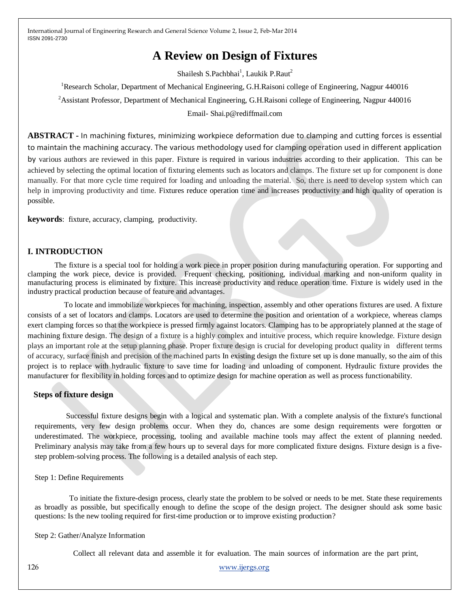# **A Review on Design of Fixtures**

Shailesh S.Pachbhai<sup>1</sup>, Laukik P.Raut<sup>2</sup>

<sup>1</sup>Research Scholar, Department of Mechanical Engineering, G.H.Raisoni college of Engineering, Nagpur 440016 <sup>2</sup> Assistant Professor, Department of Mechanical Engineering, G.H.Raisoni college of Engineering, Nagpur 440016 Email- Shai.p@rediffmail.com

**ABSTRACT -** In machining fixtures, minimizing workpiece deformation due to clamping and cutting forces is essential to maintain the machining accuracy. The various methodology used for clamping operation used in different application by various authors are reviewed in this paper. Fixture is required in various industries according to their application. This can be achieved by selecting the optimal location of fixturing elements such as locators and clamps. The fixture set up for component is done manually. For that more cycle time required for loading and unloading the material. So, there is need to develop system which can help in improving productivity and time. Fixtures reduce operation time and increases productivity and high quality of operation is possible.

**keywords**: fixture, accuracy, clamping, productivity.

# **I. INTRODUCTION**

 The fixture is a special tool for holding a work piece in proper position during manufacturing operation. For supporting and clamping the work piece, device is provided. Frequent checking, positioning, individual marking and non-uniform quality in manufacturing process is eliminated by fixture. This increase productivity and reduce operation time. Fixture is widely used in the industry practical production because of feature and advantages.

 To locate and immobilize workpieces for machining, inspection, assembly and other operations fixtures are used. A fixture consists of a set of locators and clamps. Locators are used to determine the position and orientation of a workpiece, whereas clamps exert clamping forces so that the workpiece is pressed firmly against locators. Clamping has to be appropriately planned at the stage of machining fixture design. The design of a fixture is a highly complex and intuitive process, which require knowledge. Fixture design plays an important role at the setup planning phase. Proper fixture design is crucial for developing product quality in different terms of accuracy, surface finish and precision of the machined parts In existing design the fixture set up is done manually, so the aim of this project is to replace with hydraulic fixture to save time for loading and unloading of component. Hydraulic fixture provides the manufacturer for flexibility in holding forces and to optimize design for machine operation as well as process functionability.

### **Steps of fixture design**

 Successful fixture designs begin with a logical and systematic plan. With a complete analysis of the fixture's functional requirements, very few design problems occur. When they do, chances are some design requirements were forgotten or underestimated. The workpiece, processing, tooling and available machine tools may affect the extent of planning needed. Preliminary analysis may take from a few hours up to several days for more complicated fixture designs. Fixture design is a fivestep problem-solving process. The following is a detailed analysis of each step.

Step 1: Define Requirements

 To initiate the fixture-design process, clearly state the problem to be solved or needs to be met. State these requirements as broadly as possible, but specifically enough to define the scope of the design project. The designer should ask some basic questions: Is the new tooling required for first-time production or to improve existing production?

### Step 2: Gather/Analyze Information

Collect all relevant data and assemble it for evaluation. The main sources of information are the part print,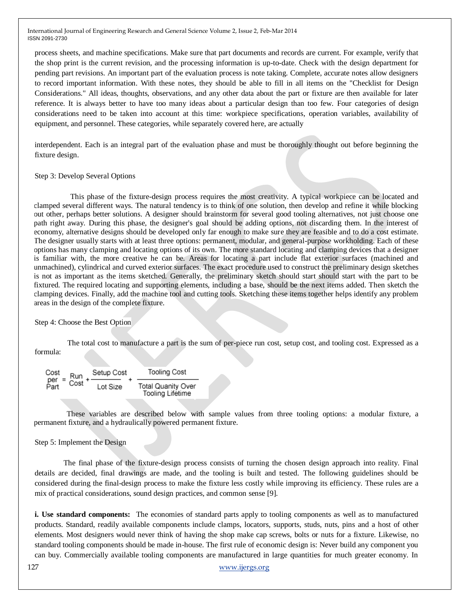process sheets, and machine specifications. Make sure that part documents and records are current. For example, verify that the shop print is the current revision, and the processing information is up-to-date. Check with the design department for pending part revisions. An important part of the evaluation process is note taking. Complete, accurate notes allow designers to record important information. With these notes, they should be able to fill in all items on the "Checklist for Design Considerations." All ideas, thoughts, observations, and any other data about the part or fixture are then available for later reference. It is always better to have too many ideas about a particular design than too few. Four categories of design considerations need to be taken into account at this time: workpiece specifications, operation variables, availability of equipment, and personnel. These categories, while separately covered here, are actually

interdependent. Each is an integral part of the evaluation phase and must be thoroughly thought out before beginning the fixture design.

#### Step 3: Develop Several Options

 This phase of the fixture-design process requires the most creativity. A typical workpiece can be located and clamped several different ways. The natural tendency is to think of one solution, then develop and refine it while blocking out other, perhaps better solutions. A designer should brainstorm for several good tooling alternatives, not just choose one path right away. During this phase, the designer's goal should be adding options, not discarding them. In the interest of economy, alternative designs should be developed only far enough to make sure they are feasible and to do a cost estimate. The designer usually starts with at least three options: permanent, modular, and general-purpose workholding. Each of these options has many clamping and locating options of its own. The more standard locating and clamping devices that a designer is familiar with, the more creative he can be. Areas for locating a part include flat exterior surfaces (machined and unmachined), cylindrical and curved exterior surfaces. The exact procedure used to construct the preliminary design sketches is not as important as the items sketched. Generally, the preliminary sketch should start should start with the part to be fixtured. The required locating and supporting elements, including a base, should be the next items added. Then sketch the clamping devices. Finally, add the machine tool and cutting tools. Sketching these items together helps identify any problem areas in the design of the complete fixture.

#### Step 4: Choose the Best Option

 The total cost to manufacture a part is the sum of per-piece run cost, setup cost, and tooling cost. Expressed as a formula:

$$
\begin{array}{lcl}\n\text{Cost} & \text{Run} & \text{Setup Cost} \\
\text{Per} & \text{Cost} + \frac{\text{Setup Cost}}{\text{Lot Size}} + \frac{\text{Total Quantity Over}}{\text{Tooling Life time}}\n\end{array}
$$

 These variables are described below with sample values from three tooling options: a modular fixture, a permanent fixture, and a hydraulically powered permanent fixture.

### Step 5: Implement the Design

 The final phase of the fixture-design process consists of turning the chosen design approach into reality. Final details are decided, final drawings are made, and the tooling is built and tested. The following guidelines should be considered during the final-design process to make the fixture less costly while improving its efficiency. These rules are a mix of practical considerations, sound design practices, and common sense [9].

**i. Use standard components:** The economies of standard parts apply to tooling components as well as to manufactured products. Standard, readily available components include clamps, locators, supports, studs, nuts, pins and a host of other elements. Most designers would never think of having the shop make cap screws, bolts or nuts for a fixture. Likewise, no standard tooling components should be made in-house. The first rule of economic design is: Never build any component you can buy. Commercially available tooling components are manufactured in large quantities for much greater economy. In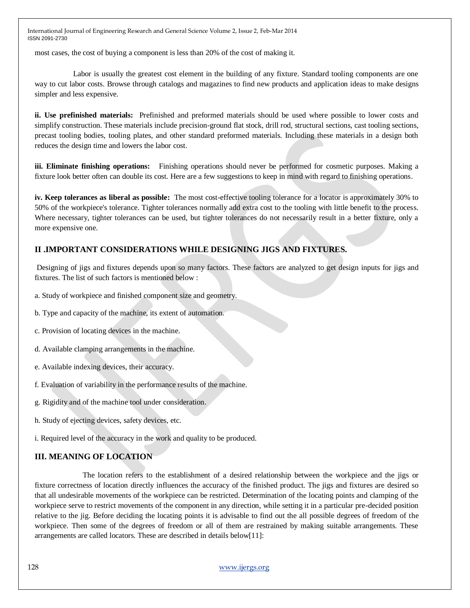most cases, the cost of buying a component is less than 20% of the cost of making it.

 Labor is usually the greatest cost element in the building of any fixture. Standard tooling components are one way to cut labor costs. Browse through catalogs and magazines to find new products and application ideas to make designs simpler and less expensive.

**ii. Use prefinished materials:** Prefinished and preformed materials should be used where possible to lower costs and simplify construction. These materials include precision-ground flat stock, drill rod, structural sections, cast tooling sections, precast tooling bodies, tooling plates, and other standard preformed materials. Including these materials in a design both reduces the design time and lowers the labor cost.

**iii. Eliminate finishing operations:** Finishing operations should never be performed for cosmetic purposes. Making a fixture look better often can double its cost. Here are a few suggestions to keep in mind with regard to finishing operations.

**iv. Keep tolerances as liberal as possible:** The most cost-effective tooling tolerance for a locator is approximately 30% to 50% of the workpiece's tolerance. Tighter tolerances normally add extra cost to the tooling with little benefit to the process. Where necessary, tighter tolerances can be used, but tighter tolerances do not necessarily result in a better fixture, only a more expensive one.

# **II .IMPORTANT CONSIDERATIONS WHILE DESIGNING JIGS AND FIXTURES.**

Designing of jigs and fixtures depends upon so many factors. These factors are analyzed to get design inputs for jigs and fixtures. The list of such factors is mentioned below :

- a. Study of workpiece and finished component size and geometry.
- b. Type and capacity of the machine, its extent of automation.
- c. Provision of locating devices in the machine.
- d. Available clamping arrangements in the machine.
- e. Available indexing devices, their accuracy.
- f. Evaluation of variability in the performance results of the machine.
- g. Rigidity and of the machine tool under consideration.
- h. Study of ejecting devices, safety devices, etc.
- i. Required level of the accuracy in the work and quality to be produced.

# **III. MEANING OF LOCATION**

 The location refers to the establishment of a desired relationship between the workpiece and the jigs or fixture correctness of location directly influences the accuracy of the finished product. The jigs and fixtures are desired so that all undesirable movements of the workpiece can be restricted. Determination of the locating points and clamping of the workpiece serve to restrict movements of the component in any direction, while setting it in a particular pre-decided position relative to the jig. Before deciding the locating points it is advisable to find out the all possible degrees of freedom of the workpiece. Then some of the degrees of freedom or all of them are restrained by making suitable arrangements. These arrangements are called locators. These are described in details below[11]: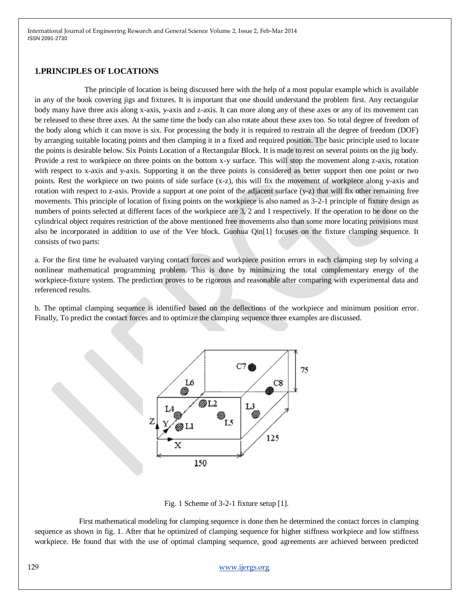#### **1.PRINCIPLES OF LOCATIONS**

 The principle of location is being discussed here with the help of a most popular example which is available in any of the book covering jigs and fixtures. It is important that one should understand the problem first. Any rectangular body many have three axis along x-axis, y-axis and z-axis. It can more along any of these axes or any of its movement can be released to these three axes. At the same time the body can also rotate about these axes too. So total degree of freedom of the body along which it can move is six. For processing the body it is required to restrain all the degree of freedom (DOF) by arranging suitable locating points and then clamping it in a fixed and required position. The basic principle used to locate the points is desirable below. Six Points Location of a Rectangular Block. It is made to rest on several points on the jig body. Provide a rest to workpiece on three points on the bottom x-y surface. This will stop the movement along z-axis, rotation with respect to x-axis and y-axis. Supporting it on the three points is considered as better support then one point or two points. Rest the workpiece on two points of side surface (x-z), this will fix the movement of workpiece along y-axis and rotation with respect to z-axis. Provide a support at one point of the adjacent surface (y-z) that will fix other remaining free movements. This principle of location of fixing points on the workpiece is also named as 3-2-1 principle of fixture design as numbers of points selected at different faces of the workpiece are 3, 2 and 1 respectively. If the operation to be done on the cylindrical object requires restriction of the above mentioned free movements also than some more locating provisions must also be incorporated in addition to use of the Vee block. Guohua Qin[1] focuses on the fixture clamping sequence. It consists of two parts:

a. For the first time he evaluated varying contact forces and workpiece position errors in each clamping step by solving a nonlinear mathematical programming problem. This is done by minimizing the total complementary energy of the workpiece-fixture system. The prediction proves to be rigorous and reasonable after comparing with experimental data and referenced results.

b. The optimal clamping sequence is identified based on the deflections of the workpiece and minimum position error. Finally, To predict the contact forces and to optimize the clamping sequence three examples are discussed.



Fig. 1 Scheme of 3-2-1 fixture setup [1].

 First mathematical modeling for clamping sequence is done then he determined the contact forces in clamping sequence as shown in fig. 1. After that he optimized of clamping sequence for higher stiffness workpiece and low stiffness workpiece. He found that with the use of optimal clamping sequence, good agreements are achieved between predicted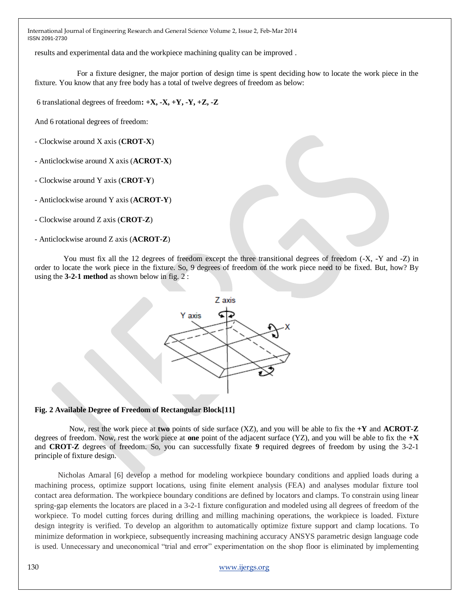results and experimental data and the workpiece machining quality can be improved .

 For a fixture designer, the major portion of design time is spent deciding how to locate the work piece in the fixture. You know that any free body has a total of twelve degrees of freedom as below:

6 translational degrees of freedom**: +X, -X, +Y, -Y, +Z, -Z**

And 6 rotational degrees of freedom:

- Clockwise around X axis (**CROT-X**)
- Anticlockwise around X axis (**ACROT-X**)
- Clockwise around Y axis (**CROT-Y**)
- Anticlockwise around Y axis (**ACROT-Y**)
- Clockwise around Z axis (**CROT-Z**)
- Anticlockwise around Z axis (**ACROT-Z**)

 You must fix all the 12 degrees of freedom except the three transitional degrees of freedom (-X, -Y and -Z) in order to locate the work piece in the fixture. So, 9 degrees of freedom of the work piece need to be fixed. But, how? By using the **3-2-1 method** as shown below in fig. 2 :



### **Fig. 2 Available Degree of Freedom of Rectangular Block[11]**

 Now, rest the work piece at **two** points of side surface (XZ), and you will be able to fix the **+Y** and **ACROT-Z**  degrees of freedom. Now, rest the work piece at **one** point of the adjacent surface (YZ), and you will be able to fix the **+X**  and **CROT-Z** degrees of freedom. So, you can successfully fixate **9** required degrees of freedom by using the 3-2-1 principle of fixture design.

 Nicholas Amaral [6] develop a method for modeling workpiece boundary conditions and applied loads during a machining process, optimize support locations, using finite element analysis (FEA) and analyses modular fixture tool contact area deformation. The workpiece boundary conditions are defined by locators and clamps. To constrain using linear spring-gap elements the locators are placed in a 3-2-1 fixture configuration and modeled using all degrees of freedom of the workpiece. To model cutting forces during drilling and milling machining operations, the workpiece is loaded. Fixture design integrity is verified. To develop an algorithm to automatically optimize fixture support and clamp locations. To minimize deformation in workpiece, subsequently increasing machining accuracy ANSYS parametric design language code is used. Unnecessary and uneconomical "trial and error" experimentation on the shop floor is eliminated by implementing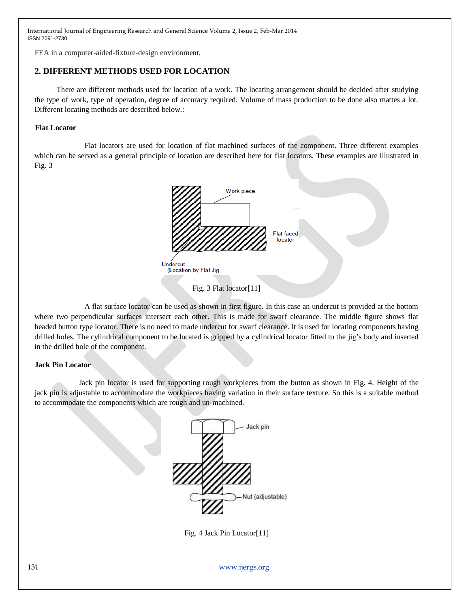FEA in a computer-aided-fixture-design environment.

# **2. DIFFERENT METHODS USED FOR LOCATION**

 There are different methods used for location of a work. The locating arrangement should be decided after studying the type of work, type of operation, degree of accuracy required. Volume of mass production to be done also mattes a lot. Different locating methods are described below.:

#### **Flat Locator**

 Flat locators are used for location of flat machined surfaces of the component. Three different examples which can be served as a general principle of location are described here for flat locators. These examples are illustrated in Fig. 3



Fig. 3 Flat locator[11]

 A flat surface locator can be used as shown in first figure. In this case an undercut is provided at the bottom where two perpendicular surfaces intersect each other. This is made for swarf clearance. The middle figure shows flat headed button type locator. There is no need to made undercut for swarf clearance. It is used for locating components having drilled holes. The cylindrical component to be located is gripped by a cylindrical locator fitted to the jig"s body and inserted in the drilled hole of the component.

#### **Jack Pin Locator**

 Jack pin locator is used for supporting rough workpieces from the button as shown in Fig. 4. Height of the jack pin is adjustable to accommodate the workpieces having variation in their surface texture. So this is a suitable method to accommodate the components which are rough and un-machined.



Fig. 4 Jack Pin Locator[11]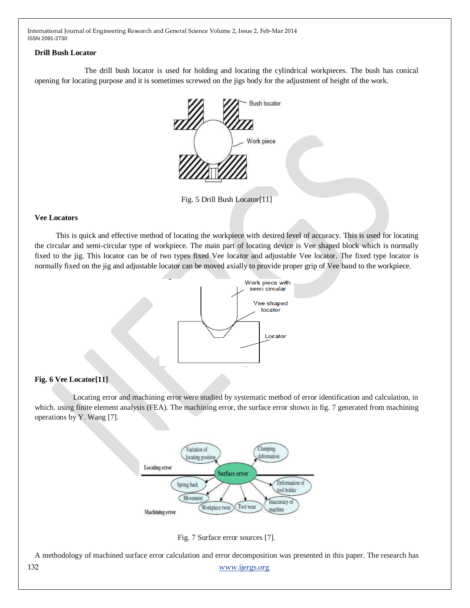### **Drill Bush Locator**

 The drill bush locator is used for holding and locating the cylindrical workpieces. The bush has conical opening for locating purpose and it is sometimes screwed on the jigs body for the adjustment of height of the work.



Fig. 5 Drill Bush Locator[11]

### **Vee Locators**

 This is quick and effective method of locating the workpiece with desired level of accuracy. This is used for locating the circular and semi-circular type of workpiece. The main part of locating device is Vee shaped block which is normally fixed to the jig. This locator can be of two types fixed Vee locator and adjustable Vee locator. The fixed type locator is normally fixed on the jig and adjustable locator can be moved axially to provide proper grip of Vee band to the workpiece.



# **Fig. 6 Vee Locator[11]**

 Locating error and machining error were studied by systematic method of error identification and calculation, in which. using finite element analysis (FEA). The machining error, the surface error shown in fig. 7 generated from machining operations by Y. Wang [7].



Fig. 7 Surface error sources [7].

132 [www.ijergs.org](http://www.ijergs.org/) A methodology of machined surface error calculation and error decomposition was presented in this paper. The research has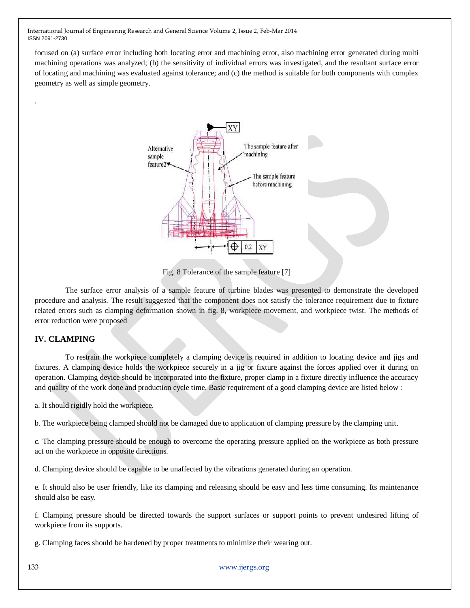focused on (a) surface error including both locating error and machining error, also machining error generated during multi machining operations was analyzed; (b) the sensitivity of individual errors was investigated, and the resultant surface error of locating and machining was evaluated against tolerance; and (c) the method is suitable for both components with complex geometry as well as simple geometry.



Fig. 8 Tolerance of the sample feature [7]

 The surface error analysis of a sample feature of turbine blades was presented to demonstrate the developed procedure and analysis. The result suggested that the component does not satisfy the tolerance requirement due to fixture related errors such as clamping deformation shown in fig. 8, workpiece movement, and workpiece twist. The methods of error reduction were proposed

# **IV. CLAMPING**

.

 To restrain the workpiece completely a clamping device is required in addition to locating device and jigs and fixtures. A clamping device holds the workpiece securely in a jig or fixture against the forces applied over it during on operation. Clamping device should be incorporated into the fixture, proper clamp in a fixture directly influence the accuracy and quality of the work done and production cycle time. Basic requirement of a good clamping device are listed below :

a. It should rigidly hold the workpiece.

b. The workpiece being clamped should not be damaged due to application of clamping pressure by the clamping unit.

c. The clamping pressure should be enough to overcome the operating pressure applied on the workpiece as both pressure act on the workpiece in opposite directions.

d. Clamping device should be capable to be unaffected by the vibrations generated during an operation.

e. It should also be user friendly, like its clamping and releasing should be easy and less time consuming. Its maintenance should also be easy.

f. Clamping pressure should be directed towards the support surfaces or support points to prevent undesired lifting of workpiece from its supports.

g. Clamping faces should be hardened by proper treatments to minimize their wearing out.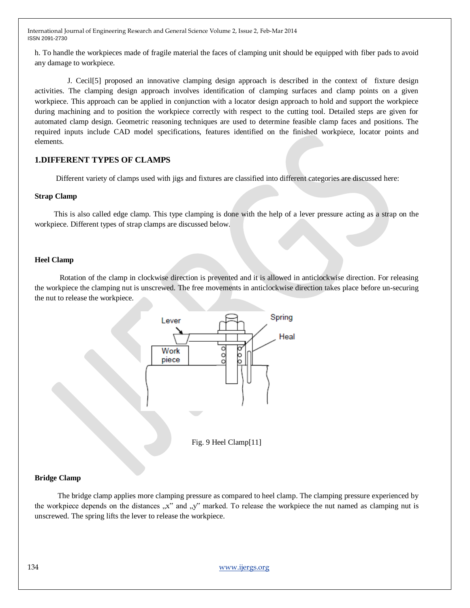h. To handle the workpieces made of fragile material the faces of clamping unit should be equipped with fiber pads to avoid any damage to workpiece.

 J. Cecil[5] proposed an innovative clamping design approach is described in the context of fixture design activities. The clamping design approach involves identification of clamping surfaces and clamp points on a given workpiece. This approach can be applied in conjunction with a locator design approach to hold and support the workpiece during machining and to position the workpiece correctly with respect to the cutting tool. Detailed steps are given for automated clamp design. Geometric reasoning techniques are used to determine feasible clamp faces and positions. The required inputs include CAD model specifications, features identified on the finished workpiece, locator points and elements.

# **1.DIFFERENT TYPES OF CLAMPS**

Different variety of clamps used with jigs and fixtures are classified into different categories are discussed here:

#### **Strap Clamp**

 This is also called edge clamp. This type clamping is done with the help of a lever pressure acting as a strap on the workpiece. Different types of strap clamps are discussed below.

#### **Heel Clamp**

 Rotation of the clamp in clockwise direction is prevented and it is allowed in anticlockwise direction. For releasing the workpiece the clamping nut is unscrewed. The free movements in anticlockwise direction takes place before un-securing the nut to release the workpiece.





#### **Bridge Clamp**

 The bridge clamp applies more clamping pressure as compared to heel clamp. The clamping pressure experienced by the workpiece depends on the distances  $\alpha$ ,  $x''$  and  $y''$  marked. To release the workpiece the nut named as clamping nut is unscrewed. The spring lifts the lever to release the workpiece.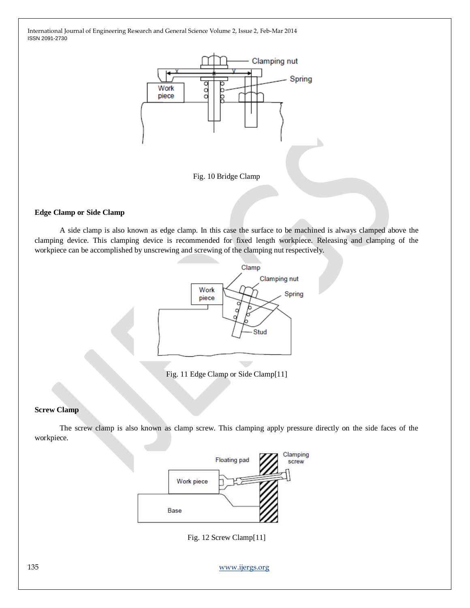

Fig. 10 Bridge Clamp

#### **Edge Clamp or Side Clamp**

 A side clamp is also known as edge clamp. In this case the surface to be machined is always clamped above the clamping device. This clamping device is recommended for fixed length workpiece. Releasing and clamping of the workpiece can be accomplished by unscrewing and screwing of the clamping nut respectively.



Fig. 11 Edge Clamp or Side Clamp[11]

# **Screw Clamp**

 The screw clamp is also known as clamp screw. This clamping apply pressure directly on the side faces of the workpiece.



Fig. 12 Screw Clamp[11]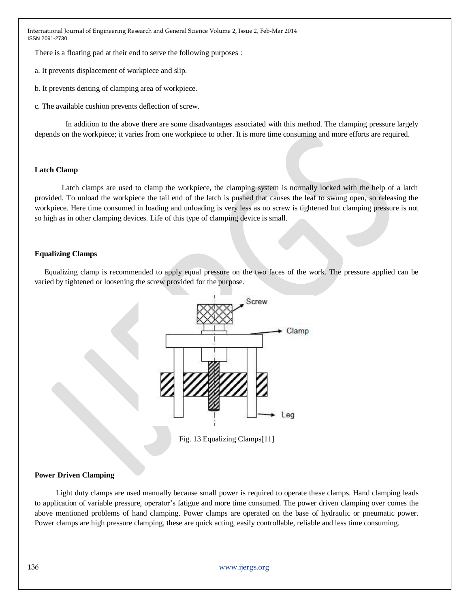There is a floating pad at their end to serve the following purposes :

a. It prevents displacement of workpiece and slip.

b. It prevents denting of clamping area of workpiece.

c. The available cushion prevents deflection of screw.

 In addition to the above there are some disadvantages associated with this method. The clamping pressure largely depends on the workpiece; it varies from one workpiece to other. It is more time consuming and more efforts are required.

#### **Latch Clamp**

 Latch clamps are used to clamp the workpiece, the clamping system is normally locked with the help of a latch provided. To unload the workpiece the tail end of the latch is pushed that causes the leaf to swung open, so releasing the workpiece. Here time consumed in loading and unloading is very less as no screw is tightened but clamping pressure is not so high as in other clamping devices. Life of this type of clamping device is small.

#### **Equalizing Clamps**

 Equalizing clamp is recommended to apply equal pressure on the two faces of the work. The pressure applied can be varied by tightened or loosening the screw provided for the purpose.



Fig. 13 Equalizing Clamps[11]

#### **Power Driven Clamping**

 Light duty clamps are used manually because small power is required to operate these clamps. Hand clamping leads to application of variable pressure, operator's fatigue and more time consumed. The power driven clamping over comes the above mentioned problems of hand clamping. Power clamps are operated on the base of hydraulic or pneumatic power. Power clamps are high pressure clamping, these are quick acting, easily controllable, reliable and less time consuming.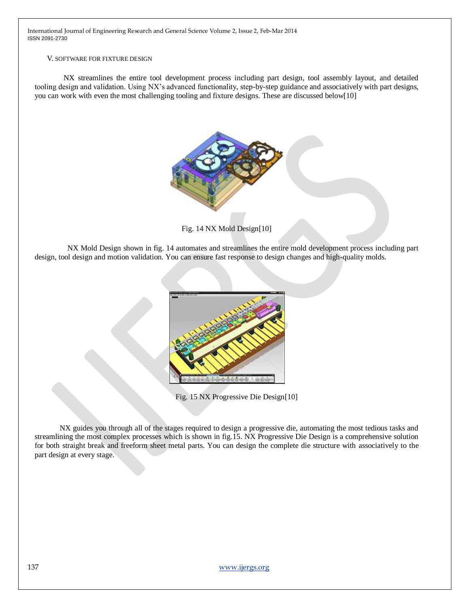#### V. SOFTWARE FOR FIXTURE DESIGN

 NX streamlines the entire tool development process including part design, tool assembly layout, and detailed tooling design and validation. Using NX"s advanced functionality, step-by-step guidance and associatively with part designs, you can work with even the most challenging tooling and fixture designs. These are discussed below[10]



Fig. 14 NX Mold Design[10]

 NX Mold Design shown in fig. 14 automates and streamlines the entire mold development process including part design, tool design and motion validation. You can ensure fast response to design changes and high-quality molds.



Fig. 15 NX Progressive Die Design[10]

 NX guides you through all of the stages required to design a progressive die, automating the most tedious tasks and streamlining the most complex processes which is shown in fig.15. NX Progressive Die Design is a comprehensive solution for both straight break and freeform sheet metal parts. You can design the complete die structure with associatively to the part design at every stage.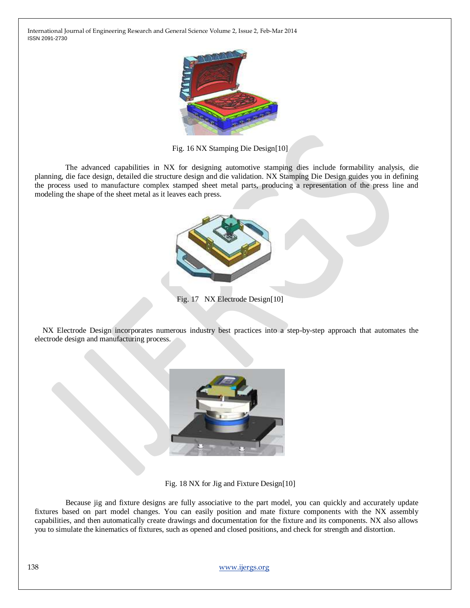

Fig. 16 NX Stamping Die Design[10]

 The advanced capabilities in NX for designing automotive stamping dies include formability analysis, die planning, die face design, detailed die structure design and die validation. NX Stamping Die Design guides you in defining the process used to manufacture complex stamped sheet metal parts, producing a representation of the press line and modeling the shape of the sheet metal as it leaves each press.



Fig. 17 NX Electrode Design[10]

 NX Electrode Design incorporates numerous industry best practices into a step-by-step approach that automates the electrode design and manufacturing process.



Fig. 18 NX for Jig and Fixture Design[10]

 Because jig and fixture designs are fully associative to the part model, you can quickly and accurately update fixtures based on part model changes. You can easily position and mate fixture components with the NX assembly capabilities, and then automatically create drawings and documentation for the fixture and its components. NX also allows you to simulate the kinematics of fixtures, such as opened and closed positions, and check for strength and distortion.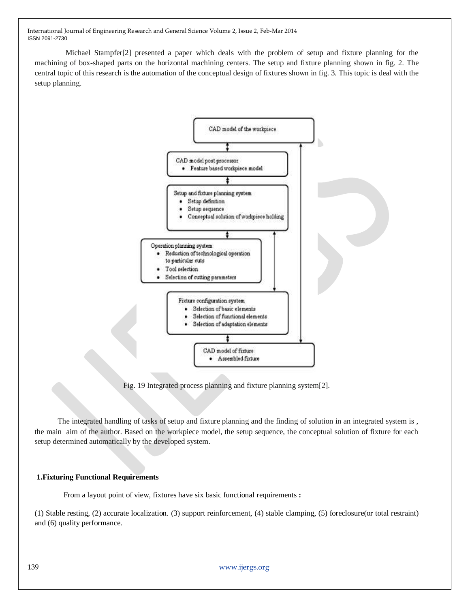Michael Stampfer[2] presented a paper which deals with the problem of setup and fixture planning for the machining of box-shaped parts on the horizontal machining centers. The setup and fixture planning shown in fig. 2. The central topic of this research is the automation of the conceptual design of fixtures shown in fig. 3. This topic is deal with the setup planning.



Fig. 19 Integrated process planning and fixture planning system[2].

 The integrated handling of tasks of setup and fixture planning and the finding of solution in an integrated system is , the main aim of the author. Based on the workpiece model, the setup sequence, the conceptual solution of fixture for each setup determined automatically by the developed system.

### **1.Fixturing Functional Requirements**

From a layout point of view, fixtures have six basic functional requirements **:** 

(1) Stable resting, (2) accurate localization. (3) support reinforcement, (4) stable clamping, (5) foreclosure(or total restraint) and (6) quality performance.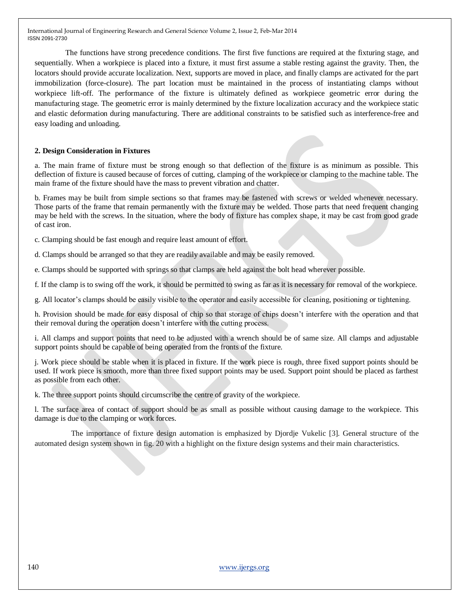The functions have strong precedence conditions. The first five functions are required at the fixturing stage, and sequentially. When a workpiece is placed into a fixture, it must first assume a stable resting against the gravity. Then, the locators should provide accurate localization. Next, supports are moved in place, and finally clamps are activated for the part immobilization (force-closure). The part location must be maintained in the process of instantiating clamps without workpiece lift-off. The performance of the fixture is ultimately defined as workpiece geometric error during the manufacturing stage. The geometric error is mainly determined by the fixture localization accuracy and the workpiece static and elastic deformation during manufacturing. There are additional constraints to be satisfied such as interference-free and easy loading and unloading.

### **2. Design Consideration in Fixtures**

a. The main frame of fixture must be strong enough so that deflection of the fixture is as minimum as possible. This deflection of fixture is caused because of forces of cutting, clamping of the workpiece or clamping to the machine table. The main frame of the fixture should have the mass to prevent vibration and chatter.

b. Frames may be built from simple sections so that frames may be fastened with screws or welded whenever necessary. Those parts of the frame that remain permanently with the fixture may be welded. Those parts that need frequent changing may be held with the screws. In the situation, where the body of fixture has complex shape, it may be cast from good grade of cast iron.

c. Clamping should be fast enough and require least amount of effort.

d. Clamps should be arranged so that they are readily available and may be easily removed.

e. Clamps should be supported with springs so that clamps are held against the bolt head wherever possible.

f. If the clamp is to swing off the work, it should be permitted to swing as far as it is necessary for removal of the workpiece.

g. All locator"s clamps should be easily visible to the operator and easily accessible for cleaning, positioning or tightening.

h. Provision should be made for easy disposal of chip so that storage of chips doesn"t interfere with the operation and that their removal during the operation doesn"t interfere with the cutting process.

i. All clamps and support points that need to be adjusted with a wrench should be of same size. All clamps and adjustable support points should be capable of being operated from the fronts of the fixture.

j. Work piece should be stable when it is placed in fixture. If the work piece is rough, three fixed support points should be used. If work piece is smooth, more than three fixed support points may be used. Support point should be placed as farthest as possible from each other.

k. The three support points should circumscribe the centre of gravity of the workpiece.

l. The surface area of contact of support should be as small as possible without causing damage to the workpiece. This damage is due to the clamping or work forces.

 The importance of fixture design automation is emphasized by Djordje Vukelic [3]. General structure of the automated design system shown in fig. 20 with a highlight on the fixture design systems and their main characteristics.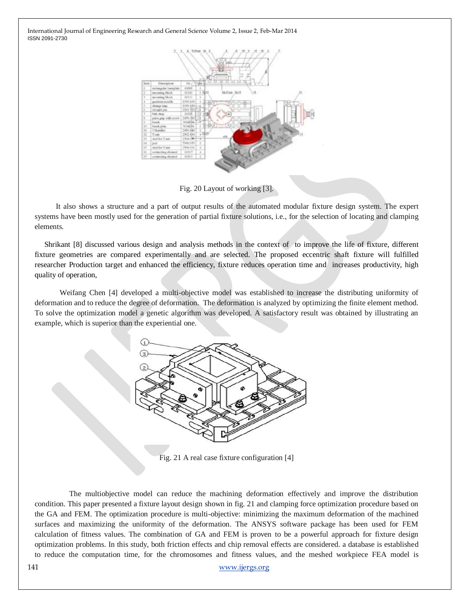

Fig. 20 Layout of working [3].

 It also shows a structure and a part of output results of the automated modular fixture design system. The expert systems have been mostly used for the generation of partial fixture solutions, i.e., for the selection of locating and clamping elements.

Shrikant [8] discussed various design and analysis methods in the context of to improve the life of fixture, different fixture geometries are compared experimentally and are selected. The proposed eccentric shaft fixture will fulfilled researcher Production target and enhanced the efficiency, fixture reduces operation time and increases productivity, high quality of operation,

 Weifang Chen [4] developed a multi-objective model was established to increase the distributing uniformity of deformation and to reduce the degree of deformation. The deformation is analyzed by optimizing the finite element method. To solve the optimization model a genetic algorithm was developed. A satisfactory result was obtained by illustrating an example, which is superior than the experiential one.



Fig. 21 A real case fixture configuration [4]

 The multiobjective model can reduce the machining deformation effectively and improve the distribution condition. This paper presented a fixture layout design shown in fig. 21 and clamping force optimization procedure based on the GA and FEM. The optimization procedure is multi-objective: minimizing the maximum deformation of the machined surfaces and maximizing the uniformity of the deformation. The ANSYS software package has been used for FEM calculation of fitness values. The combination of GA and FEM is proven to be a powerful approach for fixture design optimization problems. In this study, both friction effects and chip removal effects are considered. a database is established to reduce the computation time, for the chromosomes and fitness values, and the meshed workpiece FEA model is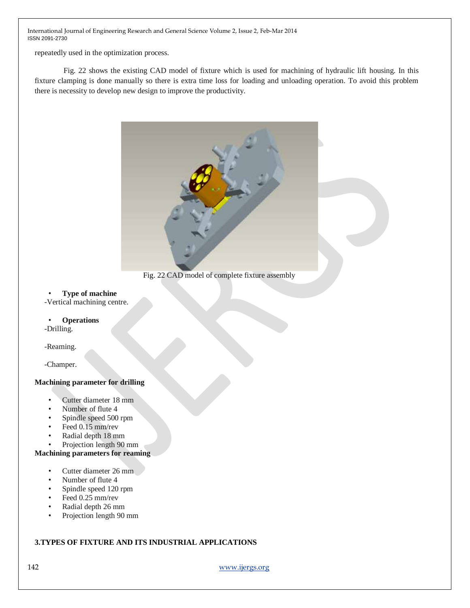repeatedly used in the optimization process.

 Fig. 22 shows the existing CAD model of fixture which is used for machining of hydraulic lift housing. In this fixture clamping is done manually so there is extra time loss for loading and unloading operation. To avoid this problem there is necessity to develop new design to improve the productivity.



Fig. 22 CAD model of complete fixture assembly

# • **Type of machine**

-Vertical machining centre.

# • **Operations**

-Drilling.

-Reaming.

-Champer.

# **Machining parameter for drilling**

- Cutter diameter 18 mm
- Number of flute 4
- Spindle speed 500 rpm
- Feed 0.15 mm/rev
- Radial depth 18 mm
- Projection length 90 mm

# **Machining parameters for reaming**

- Cutter diameter 26 mm
- Number of flute 4
- Spindle speed 120 rpm
- Feed 0.25 mm/rev
- Radial depth 26 mm
- Projection length 90 mm

# **3.TYPES OF FIXTURE AND ITS INDUSTRIAL APPLICATIONS**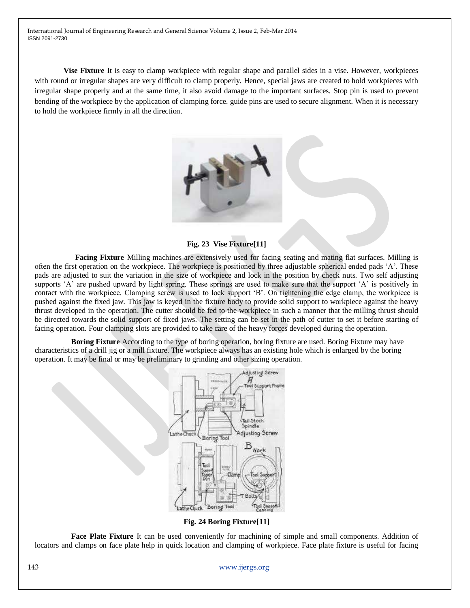**Vise Fixture** It is easy to clamp workpiece with regular shape and parallel sides in a vise. However, workpieces with round or irregular shapes are very difficult to clamp properly. Hence, special jaws are created to hold workpieces with irregular shape properly and at the same time, it also avoid damage to the important surfaces. Stop pin is used to prevent bending of the workpiece by the application of clamping force. guide pins are used to secure alignment. When it is necessary to hold the workpiece firmly in all the direction.



**Fig. 23 Vise Fixture[11]**

 **Facing Fixture** Milling machines are extensively used for facing seating and mating flat surfaces. Milling is often the first operation on the workpiece. The workpiece is positioned by three adjustable spherical ended pads "A". These pads are adjusted to suit the variation in the size of workpiece and lock in the position by check nuts. Two self adjusting supports 'A' are pushed upward by light spring. These springs are used to make sure that the support 'A' is positively in contact with the workpiece. Clamping screw is used to lock support "B". On tightening the edge clamp, the workpiece is pushed against the fixed jaw. This jaw is keyed in the fixture body to provide solid support to workpiece against the heavy thrust developed in the operation. The cutter should be fed to the workpiece in such a manner that the milling thrust should be directed towards the solid support of fixed jaws. The setting can be set in the path of cutter to set it before starting of facing operation. Four clamping slots are provided to take care of the heavy forces developed during the operation.

 **Boring Fixture** According to the type of boring operation, boring fixture are used. Boring Fixture may have characteristics of a drill jig or a mill fixture. The workpiece always has an existing hole which is enlarged by the boring operation. It may be final or may be preliminary to grinding and other sizing operation.



**Fig. 24 Boring Fixture[11]**

 **Face Plate Fixture** It can be used conveniently for machining of simple and small components. Addition of locators and clamps on face plate help in quick location and clamping of workpiece. Face plate fixture is useful for facing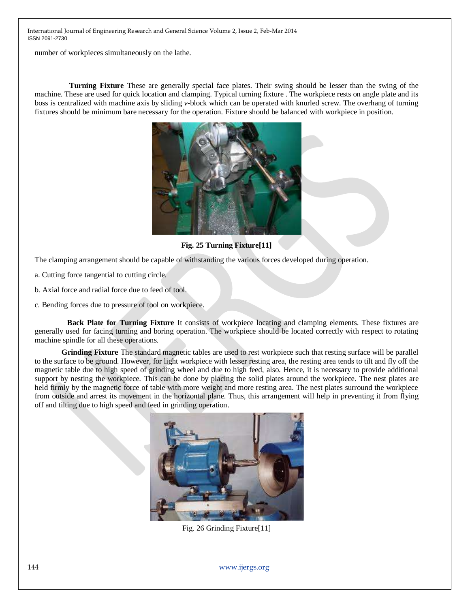number of workpieces simultaneously on the lathe.

 **Turning Fixture** These are generally special face plates. Their swing should be lesser than the swing of the machine. These are used for quick location and clamping. Typical turning fixture . The workpiece rests on angle plate and its boss is centralized with machine axis by sliding *v*-block which can be operated with knurled screw. The overhang of turning fixtures should be minimum bare necessary for the operation. Fixture should be balanced with workpiece in position.



**Fig. 25 Turning Fixture[11]**

The clamping arrangement should be capable of withstanding the various forces developed during operation.

a. Cutting force tangential to cutting circle.

b. Axial force and radial force due to feed of tool.

c. Bending forces due to pressure of tool on workpiece.

 **Back Plate for Turning Fixture** It consists of workpiece locating and clamping elements. These fixtures are generally used for facing turning and boring operation. The workpiece should be located correctly with respect to rotating machine spindle for all these operations.

 **Grinding Fixture** The standard magnetic tables are used to rest workpiece such that resting surface will be parallel to the surface to be ground. However, for light workpiece with lesser resting area, the resting area tends to tilt and fly off the magnetic table due to high speed of grinding wheel and due to high feed, also. Hence, it is necessary to provide additional support by nesting the workpiece. This can be done by placing the solid plates around the workpiece. The nest plates are held firmly by the magnetic force of table with more weight and more resting area. The nest plates surround the workpiece from outside and arrest its movement in the horizontal plane. Thus, this arrangement will help in preventing it from flying off and tilting due to high speed and feed in grinding operation.



Fig. 26 Grinding Fixture[11]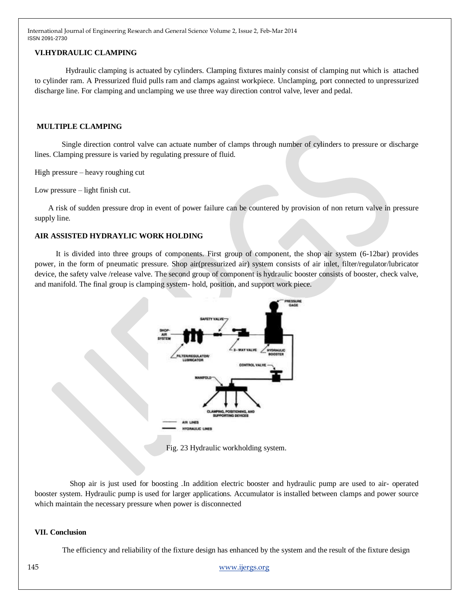# **VI.HYDRAULIC CLAMPING**

 Hydraulic clamping is actuated by cylinders. Clamping fixtures mainly consist of clamping nut which is attached to cylinder ram. A Pressurized fluid pulls ram and clamps against workpiece. Unclamping, port connected to unpressurized discharge line. For clamping and unclamping we use three way direction control valve, lever and pedal.

### **MULTIPLE CLAMPING**

 Single direction control valve can actuate number of clamps through number of cylinders to pressure or discharge lines. Clamping pressure is varied by regulating pressure of fluid.

High pressure – heavy roughing cut

Low pressure – light finish cut.

 A risk of sudden pressure drop in event of power failure can be countered by provision of non return valve in pressure supply line.

# **AIR ASSISTED HYDRAYLIC WORK HOLDING**

 It is divided into three groups of components. First group of component, the shop air system (6-12bar) provides power, in the form of pneumatic pressure. Shop air(pressurized air) system consists of air inlet, filter/regulator/lubricator device, the safety valve /release valve. The second group of component is hydraulic booster consists of booster, check valve, and manifold. The final group is clamping system- hold, position, and support work piece.



Fig. 23 Hydraulic workholding system.

 Shop air is just used for boosting .In addition electric booster and hydraulic pump are used to air- operated booster system. Hydraulic pump is used for larger applications. Accumulator is installed between clamps and power source which maintain the necessary pressure when power is disconnected

### **VII. Conclusion**

The efficiency and reliability of the fixture design has enhanced by the system and the result of the fixture design